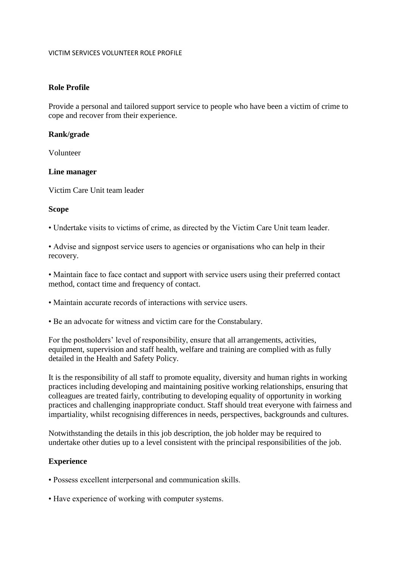#### VICTIM SERVICES VOLUNTEER ROLE PROFILE

## **Role Profile**

Provide a personal and tailored support service to people who have been a victim of crime to cope and recover from their experience.

### **Rank/grade**

Volunteer

### **Line manager**

Victim Care Unit team leader

### **Scope**

• Undertake visits to victims of crime, as directed by the Victim Care Unit team leader.

• Advise and signpost service users to agencies or organisations who can help in their recovery.

• Maintain face to face contact and support with service users using their preferred contact method, contact time and frequency of contact.

- Maintain accurate records of interactions with service users.
- Be an advocate for witness and victim care for the Constabulary.

For the postholders' level of responsibility, ensure that all arrangements, activities, equipment, supervision and staff health, welfare and training are complied with as fully detailed in the Health and Safety Policy.

It is the responsibility of all staff to promote equality, diversity and human rights in working practices including developing and maintaining positive working relationships, ensuring that colleagues are treated fairly, contributing to developing equality of opportunity in working practices and challenging inappropriate conduct. Staff should treat everyone with fairness and impartiality, whilst recognising differences in needs, perspectives, backgrounds and cultures.

Notwithstanding the details in this job description, the job holder may be required to undertake other duties up to a level consistent with the principal responsibilities of the job.

# **Experience**

- Possess excellent interpersonal and communication skills.
- Have experience of working with computer systems.